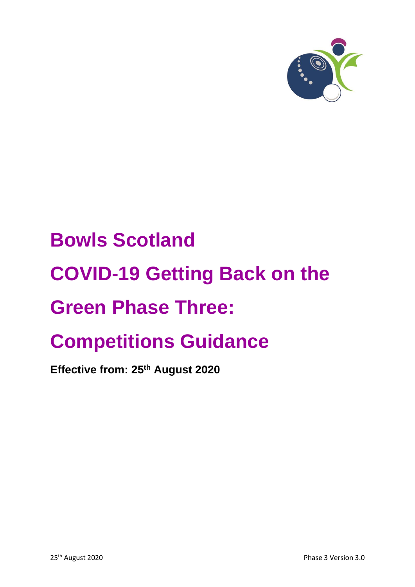

# **Bowls Scotland COVID-19 Getting Back on the Green Phase Three: Competitions Guidance**

**Effective from: 25 th August 2020**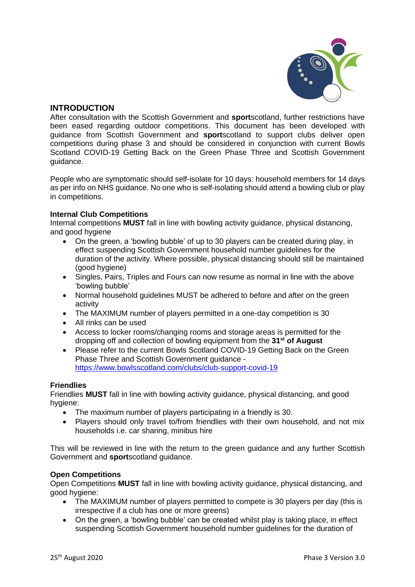

## **INTRODUCTION**

After consultation with the Scottish Government and **sport**scotland, further restrictions have been eased regarding outdoor competitions. This document has been developed with guidance from Scottish Government and **sport**scotland to support clubs deliver open competitions during phase 3 and should be considered in conjunction with current Bowls Scotland COVID-19 Getting Back on the Green Phase Three and Scottish Government guidance.

People who are symptomatic should self-isolate for 10 days: household members for 14 days as per info on NHS guidance. No one who is self-isolating should attend a bowling club or play in competitions.

### **Internal Club Competitions**

Internal competitions **MUST** fall in line with bowling activity guidance, physical distancing, and good hygiene

- On the green, a 'bowling bubble' of up to 30 players can be created during play, in effect suspending Scottish Government household number guidelines for the duration of the activity. Where possible, physical distancing should still be maintained (good hygiene)
- Singles, Pairs, Triples and Fours can now resume as normal in line with the above 'bowling bubble'
- Normal household guidelines MUST be adhered to before and after on the green activity
- The MAXIMUM number of players permitted in a one-day competition is 30
- All rinks can be used
- Access to locker rooms/changing rooms and storage areas is permitted for the dropping off and collection of bowling equipment from the **31st of August**
- Please refer to the current Bowls Scotland COVID-19 Getting Back on the Green Phase Three and Scottish Government guidance <https://www.bowlsscotland.com/clubs/club-support-covid-19>

### **Friendlies**

Friendlies **MUST** fall in line with bowling activity guidance, physical distancing, and good hygiene:

- The maximum number of players participating in a friendly is 30.
- Players should only travel to/from friendlies with their own household, and not mix households i.e. car sharing, minibus hire

This will be reviewed in line with the return to the green guidance and any further Scottish Government and **sport**scotland guidance.

### **Open Competitions**

Open Competitions **MUST** fall in line with bowling activity guidance, physical distancing, and good hygiene:

- The MAXIMUM number of players permitted to compete is 30 players per day (this is irrespective if a club has one or more greens)
- On the green, a 'bowling bubble' can be created whilst play is taking place, in effect suspending Scottish Government household number guidelines for the duration of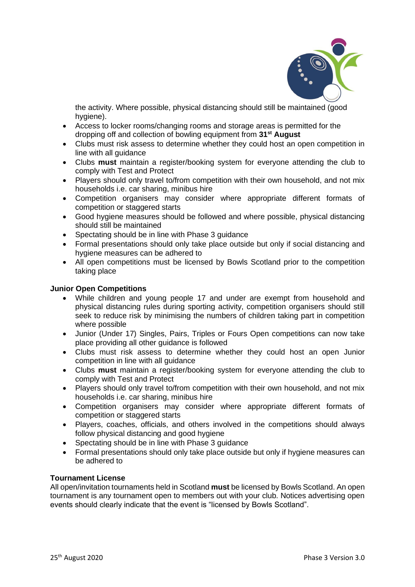

the activity. Where possible, physical distancing should still be maintained (good hygiene).

- Access to locker rooms/changing rooms and storage areas is permitted for the dropping off and collection of bowling equipment from **31st August**
- Clubs must risk assess to determine whether they could host an open competition in line with all guidance
- Clubs **must** maintain a register/booking system for everyone attending the club to comply with Test and Protect
- Players should only travel to/from competition with their own household, and not mix households i.e. car sharing, minibus hire
- Competition organisers may consider where appropriate different formats of competition or staggered starts
- Good hygiene measures should be followed and where possible, physical distancing should still be maintained
- Spectating should be in line with Phase 3 guidance
- Formal presentations should only take place outside but only if social distancing and hygiene measures can be adhered to
- All open competitions must be licensed by Bowls Scotland prior to the competition taking place

### **Junior Open Competitions**

- While children and young people 17 and under are exempt from household and physical distancing rules during sporting activity, competition organisers should still seek to reduce risk by minimising the numbers of children taking part in competition where possible
- Junior (Under 17) Singles, Pairs, Triples or Fours Open competitions can now take place providing all other guidance is followed
- Clubs must risk assess to determine whether they could host an open Junior competition in line with all guidance
- Clubs **must** maintain a register/booking system for everyone attending the club to comply with Test and Protect
- Players should only travel to/from competition with their own household, and not mix households i.e. car sharing, minibus hire
- Competition organisers may consider where appropriate different formats of competition or staggered starts
- Players, coaches, officials, and others involved in the competitions should always follow physical distancing and good hygiene
- Spectating should be in line with Phase 3 guidance
- Formal presentations should only take place outside but only if hygiene measures can be adhered to

#### **Tournament License**

All open/invitation tournaments held in Scotland **must** be licensed by Bowls Scotland. An open tournament is any tournament open to members out with your club. Notices advertising open events should clearly indicate that the event is "licensed by Bowls Scotland".